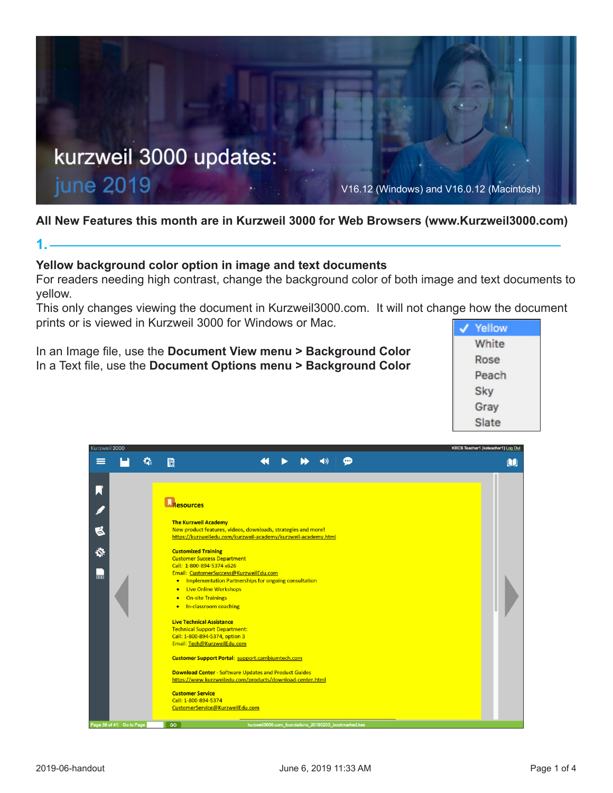

# **All New Features this month are in Kurzweil 3000 for Web Browsers (www.Kurzweil3000.com)**

# **Yellow background color option in image and text documents**

For readers needing high contrast, change the background color of both image and text documents to yellow.

This only changes viewing the document in Kurzweil3000.com. It will not change how the document prints or is viewed in Kurzweil 3000 for Windows or Mac.

In an Image file, use the **Document View menu > Background Color** In a Text file, use the **Document Options menu > Background Color**





**1.**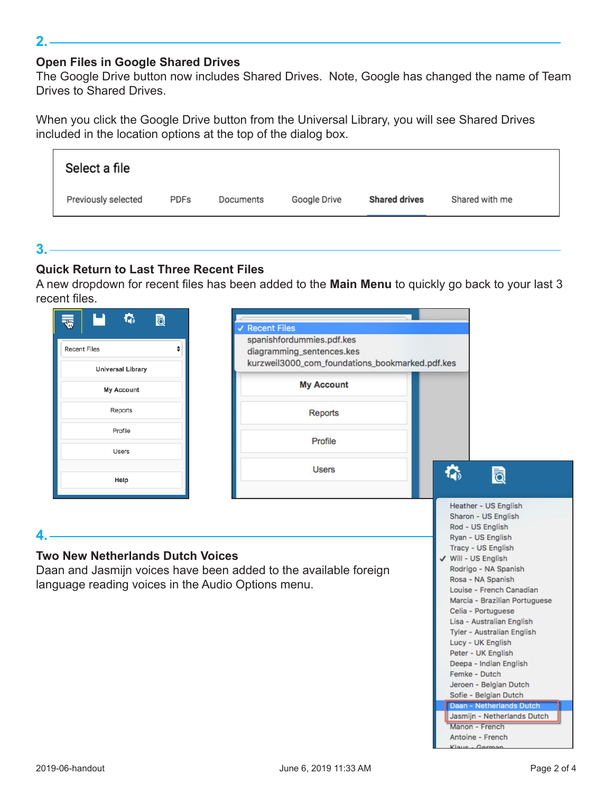# **Open Files in Google Shared Drives**

The Google Drive button now includes Shared Drives. Note, Google has changed the name of Team Drives to Shared Drives.

When you click the Google Drive button from the Universal Library, you will see Shared Drives included in the location options at the top of the dialog box.

| Select a file       |      |           |              |                      |                |
|---------------------|------|-----------|--------------|----------------------|----------------|
| Previously selected | PDFs | Documents | Google Drive | <b>Shared drives</b> | Shared with me |

## $3.$  —

 $2. -$ 

# **Quick Return to Last Three Recent Files**

A new dropdown for recent files has been added to the **Main Menu** to quickly go back to your last 3 recent files.

| <b>Recent Files</b><br><b>Universal Library</b>                                               | spanishfordummies.pdf.kes<br>diagramming_sentences.kes<br>kurzweil3000_com_foundations_bookmarked.pdf.kes |                                                                                                                                                                                                                                                                                                                                                                                                                                                                                                     |
|-----------------------------------------------------------------------------------------------|-----------------------------------------------------------------------------------------------------------|-----------------------------------------------------------------------------------------------------------------------------------------------------------------------------------------------------------------------------------------------------------------------------------------------------------------------------------------------------------------------------------------------------------------------------------------------------------------------------------------------------|
| My Account                                                                                    | <b>My Account</b>                                                                                         |                                                                                                                                                                                                                                                                                                                                                                                                                                                                                                     |
| Reports                                                                                       | <b>Reports</b>                                                                                            |                                                                                                                                                                                                                                                                                                                                                                                                                                                                                                     |
| Profile                                                                                       | Profile                                                                                                   |                                                                                                                                                                                                                                                                                                                                                                                                                                                                                                     |
| Users                                                                                         | <b>Users</b>                                                                                              |                                                                                                                                                                                                                                                                                                                                                                                                                                                                                                     |
| Help                                                                                          |                                                                                                           | 碖<br>ति                                                                                                                                                                                                                                                                                                                                                                                                                                                                                             |
| <b>Two New Netherlands Dutch Voices</b><br>language reading voices in the Audio Options menu. | Daan and Jasmijn voices have been added to the available foreign                                          | Rod - US English<br>Ryan - US English<br>Tracy - US English<br>√ Will - US English<br>Rodrigo - NA Spanish<br>Rosa - NA Spanish<br>Louise - French Canadian<br>Marcia - Brazilian Portuguese<br>Celia - Portuguese<br>Lisa - Australian English<br>Tyler - Australian English<br>Lucy - UK English<br>Peter - UK English<br>Deepa - Indian English<br>Femke - Dutch<br>Jeroen - Belgian Dutch<br>Sofie - Belgian Dutch<br>Daan - Netherlands Dutch<br>Jasmijn - Netherlands Dutch<br>Manon - French |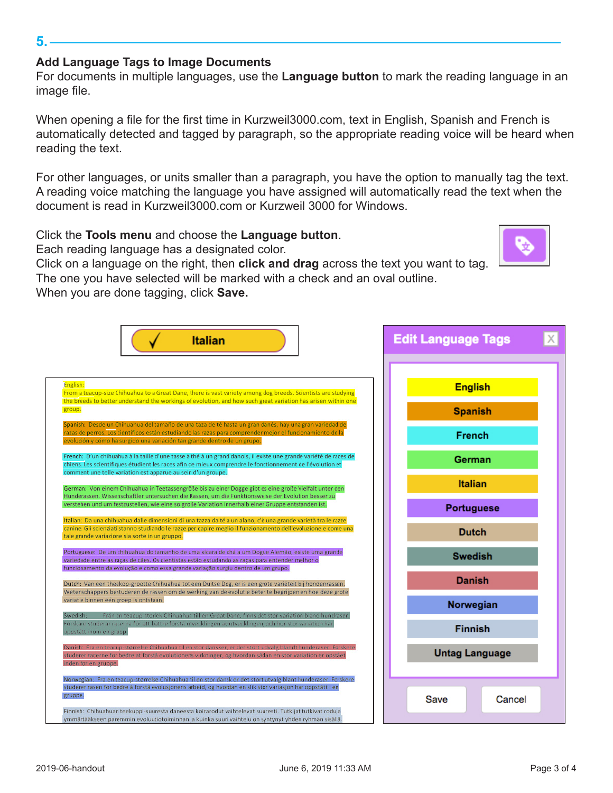### **Add Language Tags to Image Documents**

For documents in multiple languages, use the **Language button** to mark the reading language in an image file.

When opening a file for the first time in Kurzweil3000.com, text in English, Spanish and French is automatically detected and tagged by paragraph, so the appropriate reading voice will be heard when reading the text.

For other languages, or units smaller than a paragraph, you have the option to manually tag the text. A reading voice matching the language you have assigned will automatically read the text when the document is read in Kurzweil3000.com or Kurzweil 3000 for Windows.

Click the **Tools menu** and choose the **Language button**.

Each reading language has a designated color.

Click on a language on the right, then **click and drag** across the text you want to tag. The one you have selected will be marked with a check and an oval outline.

When you are done tagging, click **Save.**



#### **5.**